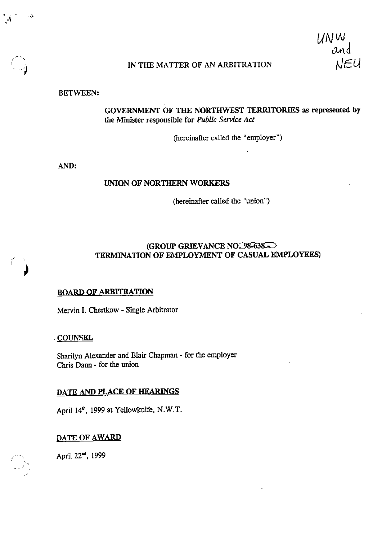IN THE MATTER OF AN ARBITRATION

## BETWEEN:

# GOVERNMENT OF THE NORTHWEST TERRITORIES as represented by the Minister responsible for Public Service Act

(hereinafter called the "employer")

AND:

## UNION OF NORTHERN WORKERS

(hereinafter called the "union")

## $(GROUP GRIEVANCE NO.98-638-$ TERMINATION OF EMPLOYMENT OF CASUAL EMPLOYEES)

#### BOARD OF ARBITRATION

Mervin I. Chertkow - Single Arbitrator

#### • COUNSEL

Sharilyn Alexander and Blair Chapman - for the employer Chris Dann - for the union

#### DATE AND PLACE OF HEARINGS

April 1999 at Yellowknife, N.W.T.

## DATE OF AWARD

April 22<sup>nd</sup>, 1999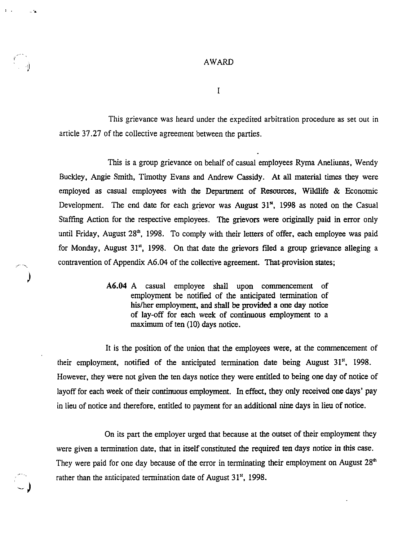AWARD

 $\sim 5$ 

I

This grievance was heard under the expedited arbitration procedure as set out in article 37.27 of the collective agreement between the parties.

This is a group grievance on behalf of casual employees Ryma Aneliunas, Wendy Buckley, Angie Smith, Timothy Evans and Andrew Cassidy. At all material times they were employed as casual employees with the Department of Resources, Wildlife & Economic Development. The end date for each grievor was August 31", 1998 as noted on the Casual Staffing Action for the respective employees. The grievors were originally paid in error only until Friday, August  $28<sup>th</sup>$ , 1998. To comply with their letters of offer, each employee was paid for Monday, August  $31<sup>st</sup>$ , 1998. On that date the grievors filed a group grievance alleging a contravention of Appendix A6.04 of the collective agreement. That-provision states;

> A6.04 A casual employee shall upon commencement of employment be notified of the anticipated termination of his/her employment, and shall be provided a one day notice of lay-off for each week of continuous employment to a maximum of ten (10) days notice.

It is the position of the union that the employees were, at the commencement of their employment, notified of the anticipated termination date being August 31", 1998. However, they were not given the ten days notice they were entitled to being one day of notice of layoff for each week of their continuous employment. In effect, they only received one days' pay in lieu of notice and therefore, entitled to payment for an additional nine days in lieu of notice.

On its part the employer urged that because at the outset of their employment they were given a termination date, that in itself constituted the required ten days notice in this case. They were paid for one day because of the error in terminating their employment on August  $28<sup>th</sup>$ rather than the anticipated termination date of August 31", 1998.